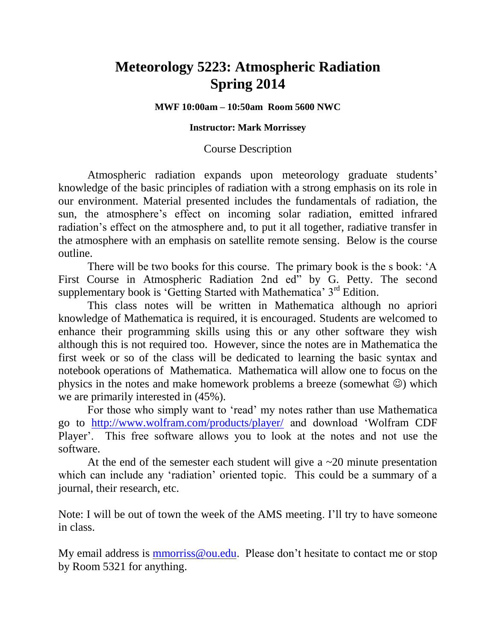# **Meteorology 5223: Atmospheric Radiation Spring 2014**

## **MWF 10:00am – 10:50am Room 5600 NWC**

## **Instructor: Mark Morrissey**

## Course Description

Atmospheric radiation expands upon meteorology graduate students' knowledge of the basic principles of radiation with a strong emphasis on its role in our environment. Material presented includes the fundamentals of radiation, the sun, the atmosphere's effect on incoming solar radiation, emitted infrared radiation's effect on the atmosphere and, to put it all together, radiative transfer in the atmosphere with an emphasis on satellite remote sensing. Below is the course outline.

There will be two books for this course. The primary book is the s book: 'A First Course in Atmospheric Radiation 2nd ed" by G. Petty. The second supplementary book is 'Getting Started with Mathematica' 3<sup>rd</sup> Edition.

This class notes will be written in Mathematica although no apriori knowledge of Mathematica is required, it is encouraged. Students are welcomed to enhance their programming skills using this or any other software they wish although this is not required too. However, since the notes are in Mathematica the first week or so of the class will be dedicated to learning the basic syntax and notebook operations of Mathematica. Mathematica will allow one to focus on the physics in the notes and make homework problems a breeze (somewhat  $\circledcirc$ ) which we are primarily interested in (45%).

For those who simply want to 'read' my notes rather than use Mathematica go to <http://www.wolfram.com/products/player/> and download 'Wolfram CDF Player'. This free software allows you to look at the notes and not use the software.

At the end of the semester each student will give a  $\sim$  20 minute presentation which can include any 'radiation' oriented topic. This could be a summary of a journal, their research, etc.

Note: I will be out of town the week of the AMS meeting. I'll try to have someone in class.

My email address is [mmorriss@ou.edu.](mailto:mmorriss@ou.edu) Please don't hesitate to contact me or stop by Room 5321 for anything.